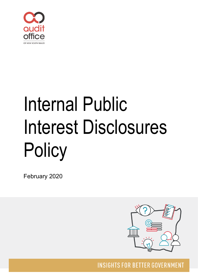

# Internal Public Interest Disclosures **Policy**

February 2020



**INSIGHTS FOR BETTER GOVERNMENT**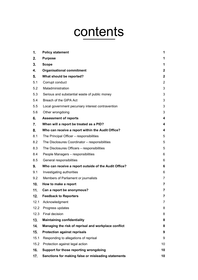# contents

| 1.   | <b>Policy statement</b>                               | 1                |
|------|-------------------------------------------------------|------------------|
| 2.   | <b>Purpose</b>                                        | 1                |
| 3.   | <b>Scope</b>                                          | 1                |
| 4.   | <b>Organisational commitment</b>                      | $\boldsymbol{2}$ |
| 5.   | What should be reported?                              | $\mathbf 2$      |
| 5.1  | Corrupt conduct                                       | $\overline{2}$   |
| 5.2  | Maladministration                                     | 3                |
| 5.3  | Serious and substantial waste of public money         | 3                |
| 5.4  | Breach of the GIPA Act                                | 3                |
| 5.5  | Local government pecuniary interest contravention     | 3                |
| 5.6  | Other wrongdoing                                      | 3                |
| 6.   | <b>Assessment of reports</b>                          | 4                |
| 7.   | When will a report be treated as a PID?               | 4                |
| 8.   | Who can receive a report within the Audit Office?     | 4                |
| 8.1  | The Principal Officer - responsibilities              | 5                |
| 8.2  | The Disclosures Coordinator - responsibilities        | 5                |
| 8.3  | The Disclosures Officers - responsibilities           | 5                |
| 8.4  | People Managers - responsibilities                    | 6                |
| 8.5  | General responsibilities                              | 6                |
| 9.   | Who can receive a report outside of the Audit Office? | 6                |
| 9.1  | Investigating authorities                             | 6                |
| 9.2  | Members of Parliament or journalists                  | $\overline{7}$   |
| 10.  | How to make a report                                  | $\overline{7}$   |
| 11.  | Can a report be anonymous?                            | 7                |
| 12.  | <b>Feedback to Reporters</b>                          | 7                |
| 12.1 | Acknowledgment                                        | $\overline{7}$   |
| 12.2 | Progress updates                                      | 8                |
| 12.3 | Final decision                                        | 8                |
| 13.  | <b>Maintaining confidentiality</b>                    | 8                |
| 14.  | Managing the risk of reprisal and workplace conflict  | 8                |
| 15.  | <b>Protection against reprisals</b>                   | 9                |
| 15.1 | Responding to allegations of reprisal                 | 9                |
| 15.2 | Protection against legal action                       | 10               |
| 16.  | Support for those reporting wrongdoing                | 10               |
| 17.  | Sanctions for making false or misleading statements   | 10               |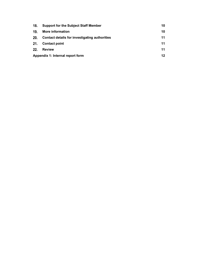| 18. | <b>Support for the Subject Staff Member</b>   | 10 |  |
|-----|-----------------------------------------------|----|--|
| 19. | More information                              | 10 |  |
| 20. | Contact details for investigating authorities | 11 |  |
| 21. | <b>Contact point</b>                          | 11 |  |
| 22. | <b>Review</b>                                 | 11 |  |
|     | Appendix 1: Internal report form              |    |  |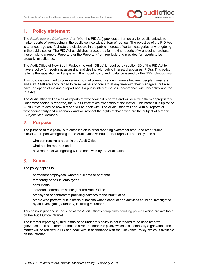

#### <span id="page-3-0"></span> $1.$ **Policy statement**

The *[Public Interest Disclosures Act 1994](https://www.legislation.nsw.gov.au/%7E/view/act/1994/92)* (the PID Act) provides a framework for public officials to make reports of wrongdoing in the public service without fear of reprisal. The objective of the PID Act is to encourage and facilitate the disclosure in the public interest, of certain categories of wrongdoing in the public sector. The PID Act establishes procedures for making reports of wrongdoing, protects those making a report (Reporters or the Reporter) from reprisals and provides for reports to be properly investigated.

The Audit Office of New South Wales (the Audit Office) is required by section 6D of the PID Act to have a policy for receiving, assessing and dealing with public interest disclosures (PIDs). This policy reflects the legislation and aligns with the model policy and guidance issued by the [NSW Ombudsman.](https://www.ombo.nsw.gov.au/)

This policy is designed to complement normal communication channels between people managers and staff. Staff are encouraged to raise matters of concern at any time with their managers, but also have the option of making a report about a public interest issue in accordance with this policy and the PID Act.

The Audit Office will assess all reports of wrongdoing it receives and will deal with them appropriately. Once wrongdoing is reported, the Audit Office takes ownership of the matter. This means it is up to the Audit Office to decide how a report will be dealt with. The Audit Office will deal with all reports of wrongdoing fairly and reasonably and will respect the rights of those who are the subject of a report (Subject Staff Member).

#### <span id="page-3-1"></span> $2.$ **Purpose**

The purpose of this policy is to establish an internal reporting system for staff (and other public officials) to report wrongdoing in the Audit Office without fear of reprisal. The policy sets out:

- who can receive a report in the Audit Office
- what can be reported and
- how reports of wrongdoing will be dealt with by the Audit Office.

#### <span id="page-3-2"></span> $3<sub>1</sub>$ **Scope**

The policy applies to:

- permanent employees, whether full-time or part-time
- temporary or casual employees
- consultants
- individual contractors working for the Audit Office
- employees or contractors providing services to the Audit Office
- others who perform public official functions whose conduct and activities could be investigated by an investigating authority, including volunteers.

This policy is just one in the suite of the Audit Office's [complaints handling policies](https://www.audit.nsw.gov.au/make-a-complaint-about-us) which are available on the Audit Office intranet. .

The internal reporting system established under this policy is not intended to be used for staff grievances. If a staff member makes a report under this policy which is substantially a grievance, the matter will be referred to HR and dealt with in accordance with the Grievance Policy, which is available on the intranet.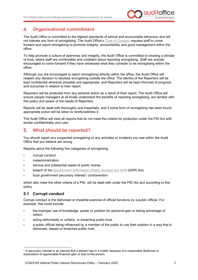

#### <span id="page-4-0"></span> $\blacktriangle$ . **Organisational commitment**

The Audit Office is committed to the highest standards of ethical and accountable behaviour and will not tolerate any form of wrongdoing. The Audit Office's [Code of Conduct](https://www.audit.nsw.gov.au/sites/default/files/2019-11/2019_Code%20of%20Conduct_November%202019%20-%20for%20publishing.pdf) requires staff to come forward and report wrongdoing to promote integrity, accountability and good management within the office.

To help promote a culture of openness and integrity, the Audit Office is committed to creating a climate of trust, where staff are comfortable and confident about reporting wrongdoing. Staff are actively encouraged to come forward if they have witnessed what they consider to be wrongdoing within the office.

Although you are encouraged to report wrongdoing directly within the office, the Audit Office will respect any decision to disclose wrongdoing outside the office. The identity of the Reporters will be kept confidential wherever possible and appropriate, and Reporters will be kept informed of progress and outcomes in relation to their report.

Reporters will be protected from any adverse action as a result of their report. The Audit Office will ensure people managers at all levels understand the benefits of reporting wrongdoing, are familiar with this policy and aware of the needs of Reporters.

Reports will be dealt with thoroughly and impartially, and if some form of wrongdoing has been found, appropriate action will be taken to rectify/address it.

The Audit Office will treat all reports that do not meet the criteria for protection under the PID Act with similar confidentiality and care.

#### <span id="page-4-1"></span>5. **What should be reported?**

You should report any suspected wrongdoing or any activities or incidents you see within the Audit Office that you believe are wrong*.*

Reports about the following five categories of wrongdoing:

- corrupt conduct
- maladministration
- serious and substantial waste of public money
- breach of the *[Government Information \(Public Access\) Act 2009](https://www.legislation.nsw.gov.au/%7E/view/act/2009/52)* (GIPA Act)
- $\alpha$  local government pecuniary interest<sup>[1](#page-4-3)</sup> contravention

which also meet the other criteria of a PID, will be dealt with under the PID Act and according to this policy.

#### <span id="page-4-2"></span>**5.1 Corrupt conduct**

Corrupt conduct is the dishonest or impartial exercise of official functions by a public official. For example, this could include:

- the improper use of knowledge, power or position for personal gain or taking advantage of others
- acting dishonestly or unfairly, or breaching public trust
- a public official being influenced by a member of the public to use their position in a way that is dishonest, biased or breaches public trust.

<span id="page-4-3"></span><sup>&</sup>lt;sup>1</sup> A pecuniary interest is an interest that a person has in a matter because of a reasonable likelihood or expectation of appreciable financial gain or loss to the person.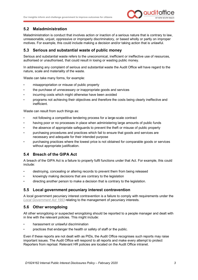

#### <span id="page-5-0"></span>**5.2 Maladministration**

Maladministration is conduct that involves action or inaction of a serious nature that is contrary to law, unreasonable, unjust, oppressive or improperly discriminatory, or based wholly or partly on improper motives. For example, this could include making a decision and/or taking action that is unlawful.

#### <span id="page-5-1"></span>**5.3 Serious and substantial waste of public money**

Serious and substantial waste refers to the uneconomical, inefficient or ineffective use of resources, authorised or unauthorised, that could result in losing or wasting public money.

In addressing any complaint of serious and substantial waste the Audit Office will have regard to the nature, scale and materiality of the waste.

Waste can take many forms, for example:

- misappropriation or misuse of public property
- the purchase of unnecessary or inappropriate goods and services
- incurring costs which might otherwise have been avoided
- programs not achieving their objectives and therefore the costs being clearly ineffective and inefficient.

Waste can result from such things as:

- not following a competitive tendering process for a large-scale contract
- having poor or no processes in place when administering large amounts of public funds
- the absence of appropriate safeguards to prevent the theft or misuse of public property
- purchasing procedures and practices which fail to ensure that goods and services are necessary and adequate for their intended purpose
- purchasing practices where the lowest price is not obtained for comparable goods or services without appropriate justification.

#### <span id="page-5-2"></span>**5.4 Breach of the GIPA Act**

A breach of the GIPA Act is a failure to properly fulfil functions under that Act. For example, this could include:

- destroying, concealing or altering records to prevent them from being released
- knowingly making decisions that are contrary to the legislation
- directing another person to make a decision that is contrary to the legislation.

#### <span id="page-5-3"></span>**5.5 Local government pecuniary interest contravention**

A local government pecuniary interest contravention is a failure to comply with requirements under the *[Local Government](https://www.legislation.nsw.gov.au/%7E/view/act/1993/30/full) Act 1993* relating to the management of pecuniary interests.

#### <span id="page-5-4"></span>**5.6 Other wrongdoing**

All other wrongdoing or suspected wrongdoing should be reported to a people manager and dealt with in line with the relevant policies. This might include:

- harassment or unlawful discrimination
- practices that endanger the health or safety of staff or the public.

Even if these reports are not dealt with as PIDs, the Audit Office recognises such reports may raise important issues. The Audit Office will respond to all reports and make every attempt to protect Reporters from reprisal. Relevant HR policies are located on the Audit Office intranet.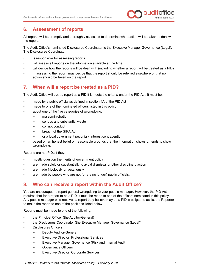

#### <span id="page-6-0"></span>6. **Assessment of reports**

All reports will be promptly and thoroughly assessed to determine what action will be taken to deal with the report.

The Audit Office's nominated Disclosures Coordinator is the Executive Manager Governance (Legal). The Disclosures Coordinator:

- is responsible for assessing reports
- will assess all reports on the information available at the time
- will decide how the reports will be dealt with (including whether a report will be treated as a PID)
- in assessing the report, may decide that the report should be referred elsewhere or that no action should be taken on the report.

#### <span id="page-6-1"></span> $7<sup>1</sup>$ **When will a report be treated as a PID?**

The Audit Office will treat a report as a PID if it meets the criteria under the PID Act. It must be:

- made by a public official as defined in section 4A of the PID Act
- made to one of the nominated officers listed in this policy
- about one of the five categories of wrongdoing:
	- maladministration
	- serious and substantial waste
	- corrupt conduct
	- breach of the GIPA Act
	- or a local government pecuniary interest contravention.
- based on an honest belief on reasonable grounds that the information shows or tends to show wrongdoing.

Reports are not PIDs if they:

- mostly question the merits of government policy
- are made solely or substantially to avoid dismissal or other disciplinary action
- are made frivolously or vexatiously
- are made by people who are not (or are no longer) public officials.

#### <span id="page-6-2"></span> $\mathbf{R}$ **Who can receive a report within the Audit Office?**

You are encouraged to report general wrongdoing to your people manager. However, the PID Act requires that for a report to be a PID, it must be made to one of the officers nominated in this policy. Any people manager who receives a report they believe may be a PID is obliged to assist the Reporter to make the report to one of the positions listed below.

Reports must be made to one of the following:

- the Principal Officer (the Auditor-General)
- the Disclosures Coordinator (the Executive Manager Governance (Legal))
- Disclosures Officers:
	- Deputy Auditor-General
	- Executive Director, Professional Services
	- Executive Manager Governance (Risk and Internal Audit)
	- Governance Officers
	- Executive Director, Corporate Services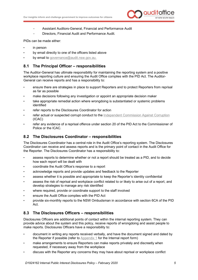

- Assistant Auditors-General, Financial and Performance Audit
- Directors, Financial Audit and Performance Audit.

PIDs can be made either:

- in person
- by email directly to one of the officers listed above
- by email to [governance@audit.nsw.gov.au.](mailto:governance@audit.nsw.gov.au)

#### <span id="page-7-0"></span>**8.1 The Principal Officer – responsibilities**

The Auditor-General has ultimate responsibility for maintaining the reporting system and a positive workplace reporting culture and ensuring the Audit Office complies with the PID Act. The Auditor-General can receive reports and has a responsibility to:

- ensure there are strategies in place to support Reporters and to protect Reporters from reprisal as far as possible
- make decisions following any investigation or appoint an appropriate decision maker
- take appropriate remedial action where wrongdoing is substantiated or systemic problems identified
- refer reports to the Disclosures Coordinator for action
- refer actual or suspected corrupt conduct to the [Independent Commission Against Corruption](https://www.icac.nsw.gov.au/) (ICAC)
- refer any evidence of a reprisal offence under section 20 of the PID Act to the Commissioner of Police or the ICAC.

#### <span id="page-7-1"></span>**8.2 The Disclosures Coordinator – responsibilities**

The Disclosures Coordinator has a central role in the Audit Office's reporting system. The Disclosures Coordinator can receive and assess reports and is the primary point of contact in the Audit Office for the Reporter. The Disclosures Coordinator has a responsibility to:

- assess reports to determine whether or not a report should be treated as a PID, and to decide how each report will be dealt with
- coordinate the Audit Office's response to a report
- acknowledge reports and provide updates and feedback to the Reporter
- assess whether it is possible and appropriate to keep the Reporter's identity confidential
- assess the risk of reprisal and workplace conflict related to or likely to arise out of a report, and develop strategies to manage any risk identified
- where required, provide or coordinate support to the staff involved
- ensure the Audit Office complies with the PID Act
- provide six-monthly reports to the NSW Ombudsman in accordance with section 6CA of the PID Act.

#### <span id="page-7-2"></span>**8.3 The Disclosures Officers – responsibilities**

Disclosures Officers are additional points of contact within the internal reporting system. They can provide advice about the system and this policy, receive reports of wrongdoing and assist people to make reports. Disclosures Officers have a responsibility to:

- document in writing any reports received verbally, and have the document signed and dated by the Reporter if possible (refer to [Appendix 1](#page-14-0) for the Internal report form)
- make arrangements to ensure Reporters can make reports privately and discreetly when requested, if necessary away from the workplace
- discuss with the Reporter any concerns they may have about reprisal or workplace conflict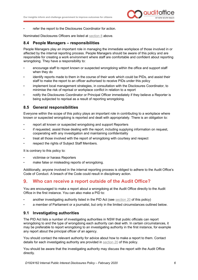

• refer the report to the Disclosures Coordinator for action.

Nominated Disclosures Officers are listed at [section 8](#page-6-2) above.

#### <span id="page-8-0"></span>**8.4 People Managers – responsibilities**

People Managers play an important role in managing the immediate workplace of those involved in or affected by the internal reporting process. People Managers should be aware of this policy and are responsible for creating a work environment where staff are comfortable and confident about reporting wrongdoing. They have a responsibility to:

- encourage staff to report known or suspected wrongdoing within the office and support staff when they do
- identify reports made to them in the course of their work which could be PIDs, and assist their staff to make the report to an officer authorised to receive PIDs under this policy
- implement local management strategies, in consultation with the Disclosures Coordinator, to minimise the risk of reprisal or workplace conflict in relation to a report
- notify the Disclosures Coordinator or Principal Officer immediately if they believe a Reporter is being subjected to reprisal as a result of reporting wrongdoing.

#### <span id="page-8-1"></span>**8.5 General responsibilities**

Everyone within the scope of this policy plays an important role in contributing to a workplace where known or suspected wrongdoing is reported and dealt with appropriately. There is an obligation to:

- report all known or suspected wrongdoing and support Reporters
- if requested, assist those dealing with the report, including supplying information on request, cooperating with any investigation and maintaining confidentiality
- treat all those involved with the report of wrongdoing with courtesy and respect
- respect the rights of Subject Staff Members.

It is contrary to this policy to:

- victimise or harass Reporters
- make false or misleading reports of wrongdoing.

Additionally, anyone involved in the internal reporting process is obliged to adhere to the Audit Office's Code of Conduct. A breach of the Code could result in disciplinary action.

#### <span id="page-8-2"></span> $9<sub>1</sub>$ **Who can receive a report outside of the Audit Office?**

You are encouraged to make a report about a wrongdoing at the Audit Office directly to the Audit Office in the first instance. You can also make a PID to:

- another investigating authority listed in the PID Act (see [section 20](#page-13-0) of this policy)
- a member of Parliament or a journalist, but only in the limited circumstances outlined below.

#### <span id="page-8-3"></span>**9.1 Investigating authorities**

The PID Act lists a number of investigating authorities in NSW that public officials can report wrongdoing to and the type of wrongdoing each authority can deal with. In certain circumstances, it may be preferable to report wrongdoing to an investigating authority in the first instance, for example any report about the principal officer of an agency.

You should contact the relevant authority for advice about how to make a report to them. Contact details for each investigating authority are provided in [section 20](#page-13-0) of this policy.

You should be aware that the investigating authority may discuss the report with the Audit Office directly.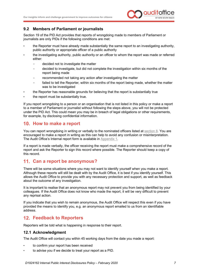

#### <span id="page-9-0"></span>**9.2 Members of Parliament or journalists**

Section 19 of the PID Act provides that reports of wrongdoing made to members of Parliament or journalists are only PIDs if the following conditions are met:

- the Reporter must have already made substantially the same report to an investigating authority, public authority or appropriate officer of a public authority
- the investigating authority, public authority or an officer to whom the report was made or referred either:
	- decided not to investigate the matter
	- decided to investigate, but did not complete the investigation within six months of the report being made
	- recommended not taking any action after investigating the matter
	- failed to tell the Reporter, within six months of the report being made, whether the matter was to be investigated
- the Reporter has reasonable grounds for believing that the report is substantially true
- the report must be substantially true.

If you report wrongdoing to a person or an organisation that is not listed in this policy or make a report to a member of Parliament or journalist without following the steps above, you will not be protected under the PID Act. This could mean you may be in breach of legal obligations or other requirements, for example, by disclosing confidential information.

#### <span id="page-9-1"></span>**How to make a report**

You can report wrongdoing in writing or verbally to the nominated officers listed at [section 8.](#page-6-2) You are encouraged to make a report in writing as this can help to avoid any confusion or misinterpretation. The Audit Office's Internal report form is available in [Appendix 1.](#page-14-0)

If a report is made verbally, the officer receiving the report must make a comprehensive record of the report and ask the Reporter to sign this record where possible. The Reporter should keep a copy of this record.

#### <span id="page-9-2"></span>**Can a report be anonymous?**

There will be some situations where you may not want to identify yourself when you make a report. Although these reports will still be dealt with by the Audit Office, it is best if you identify yourself. This allows the Audit Office to provide you with any necessary protection and support, as well as feedback about the outcome of any investigation.

It is important to realise that an anonymous report may not prevent you from being identified by your colleagues. If the Audit Office does not know who made the report, it will be very difficult to prevent any reprisal action.

If you indicate that you wish to remain anonymous, the Audit Office will respect this even if you have provided the means to identify you, e.g. an anonymous report emailed to us from an identifiable address.

#### <span id="page-9-3"></span>**Feedback to Reporters**

Reporters will be told what is happening in response to their report.

#### <span id="page-9-4"></span>**12.1 Acknowledgment**

The Audit Office will contact you within 45 working days from the date you made a report:

- to confirm your report has been received
- to advise you if we decide to treat your report as a PID.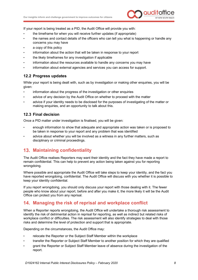

If your report is being treated as a PID, the Audit Office will provide you with:

- the timeframe for when you will receive further updates (if appropriate)
- the names and contact details of the officers who can tell you what is happening or handle any concerns you may have
- a copy of this policy
- information about the action that will be taken in response to your report
- the likely timeframes for any investigation if applicable
- information about the resources available to handle any concerns you may have
- information about external agencies and services you can access for support.

#### <span id="page-10-0"></span>**12.2 Progress updates**

While your report is being dealt with, such as by investigation or making other enquiries, you will be given:

- information about the progress of the investigation or other enquiries
- advice of any decision by the Audit Office on whether to proceed with the matter
- advice if your identity needs to be disclosed for the purposes of investigating of the matter or making enquiries, and an opportunity to talk about this.

#### <span id="page-10-1"></span>**12.3 Final decision**

Once a PID matter under investigation is finalised, you will be given:

- enough information to show that adequate and appropriate action was taken or is proposed to be taken in response to your report and any problem that was identified
- advice about whether you will be involved as a witness in any further matters, such as disciplinary or criminal proceedings.

# <span id="page-10-2"></span>**Maintaining confidentiality**

The Audit Office realises Reporters may want their identity and the fact they have made a report to remain confidential. This can help to prevent any action being taken against you for reporting wrongdoing.

Where possible and appropriate the Audit Office will take steps to keep your identity, and the fact you have reported wrongdoing, confidential. The Audit Office will discuss with you whether it is possible to keep your identity confidential.

If you report wrongdoing, you should only discuss your report with those dealing with it. The fewer people who know about your report, before and after you make it, the more likely it will be the Audit Office can protect you from any reprisal.

#### <span id="page-10-3"></span>**Managing the risk of reprisal and workplace conflict**

When a Reporter reports wrongdoing, the Audit Office will undertake a thorough risk assessment to identify the risk of detrimental action in reprisal for reporting, as well as indirect but related risks of workplace conflict or difficulties. The risk assessment will also identify strategies to deal with those risks and determine the level of protection and support that is appropriate.

Depending on the circumstances, the Audit Office may:

- relocate the Reporter or the Subject Staff Member within the workplace
- transfer the Reporter or Subject Staff Member to another position for which they are qualified
- grant the Reporter or Subject Staff Member leave of absence during the investigation of the report.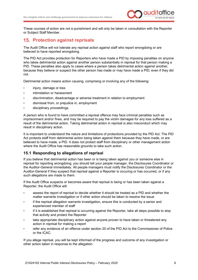

These courses of action are not a punishment and will only be taken in consultation with the Reporter or Subject Staff Member.

#### <span id="page-11-0"></span>**Protection against reprisals**

The Audit Office will not tolerate any reprisal action against staff who report wrongdoing or are believed to have reported wrongdoing.

The PID Act provides protection for Reporters who have made a PID by imposing penalties on anyone who takes detrimental action against another person substantially in reprisal for that person making a PID. These penalties also apply to cases where a person takes detrimental action against another, because they believe or suspect the other person has made or may have made a PID, even if they did not.

Detrimental action means action causing, comprising or involving any of the following:

- injury, damage or loss
- intimidation or harassment
- discrimination, disadvantage or adverse treatment in relation to employment
- dismissal from, or prejudice in, employment
- disciplinary proceedings.

A person who is found to have committed a reprisal offence may face criminal penalties such as imprisonment and/or fines, and may be required to pay the victim damages for any loss suffered as a result of the detrimental action. Taking detrimental action in reprisal is also misconduct which may result in disciplinary action.

It is important to understand the nature and limitations of protections provided by the PID Act. The PID Act protects staff from detrimental action being taken against them because they have made, or are believed to have made, a PID. It does not protect staff from disciplinary or other management action where the Audit Office has reasonable grounds to take such action.

#### <span id="page-11-1"></span>**15.1 Responding to allegations of reprisal**

If you believe that detrimental action has been or is being taken against you or someone else in reprisal for reporting wrongdoing, you should tell your people manager, the Disclosures Coordinator or the Auditor-General immediately. All people managers must notify the Disclosures Coordinator or the Auditor-General if they suspect that reprisal against a Reporter is occuring or has occurred, or if any such allegations are made to them.

If the Audit Office suspects or becomes aware that reprisal is being or has been taken against a Reporter, the Audit Office will:

- assess the report of reprisal to decide whether it should be treated as a PID and whether the matter warrants investigation or if other action should be taken to resolve the issue
- if the reprisal allegation warrants investigation, ensure this is conducted by a senior and experienced member of staff
- if it is established that reprisal is occurring against the Reporter, take all steps possible to stop that activity and protect the Reporter
- take appropriate disciplinary action against anyone proven to have taken or threatened any action in reprisal for making a report
- refer any evidence of an offence under section 20 of the PID Act to the Commissioner of Police or the ICAC.

If you allege reprisal, you will be kept informed of the progress and outcome of any investigation or other action taken in response to the allegation.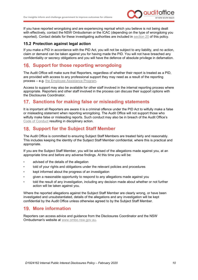

If you have reported wrongdoing and are experiencing reprisal which you believe is not being dealt with effectively, contact the NSW Ombudsman or the ICAC (depending on the type of wrongdoing you reported). Contact details for these investigating authorities are included in [section 20](#page-13-0) of this policy.

#### <span id="page-12-0"></span>**15.2 Protection against legal action**

If you make a PID in accordance with the PID Act, you will not be subject to any liability, and no action, claim or demand can be taken against you for having made the PID. You will not have breached any confidentiality or secrecy obligations and you will have the defence of absolute privilege in defamation.

# <span id="page-12-1"></span>**16. Support for those reporting wrongdoing**

The Audit Office will make sure that Reporters, regardless of whether their report is treated as a PID, are provided with access to any professional support they may need as a result of the reporting process – e.g. [the Employee Assistance Program.](https://benestar.com/)

Access to support may also be available for other staff involved in the internal reporting process where appropriate. Reporters and other staff involved in the process can discuss their support options with the Disclosures Coordinator.

## <span id="page-12-2"></span>**Sanctions for making false or misleading statements**

It is important all Reporters are aware it is a criminal offence under the PID Act to wilfully make a false or misleading statement when reporting wrongdoing. The Audit Office will not support those who wilfully make false or misleading reports. Such conduct may also be in breach of the Audit Office's [Code of Conduct](https://www.audit.nsw.gov.au/sites/default/files/2019-11/2019_Code%20of%20Conduct_November%202019%20-%20for%20publishing.pdf) resulting in disciplinary action.

## <span id="page-12-3"></span>**18. Support for the Subject Staff Member**

The Audit Office is committed to ensuring Subject Staff Members are treated fairly and reasonably. This includes keeping the identity of the Subject Staff Member confidential, where this is practical and appropriate.

If you are the Subject Staff Member, you will be advised of the allegations made against you, at an appropriate time and before any adverse findings. At this time you will be:

- advised of the details of the allegation
- told of your rights and obligations under the relevant policies and procedures
- kept informed about the progress of an investigation
- given a reasonable opportunity to respond to any allegations made against you
- told the result of any investigation, including any decision made about whether or not further action will be taken against you.

Where the reported allegations against the Subject Staff Member are clearly wrong, or have been investigated and unsubstantiated, details of the allegations and any investigation will be kept confidential by the Audit Office unless otherwise agreed to by the Subject Staff Member.

#### <span id="page-12-4"></span>**More information**

Reporters can access advice and guidance from the Disclosures Coordinator and the NSW Ombudsman's website at [www.ombo.nsw.gov.au.](http://www.ombo.nsw.gov.au/)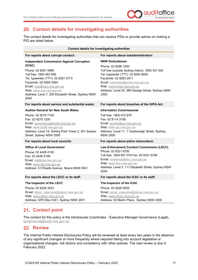

# <span id="page-13-0"></span>**Contact details for investigating authorities**

The contact details for investigating authorities that can receive PIDs or provide advice on making a PID are listed below.

| Contact details for investigating authorities                                                                                                                                                                                                                                                           |                                                                                                                                                                                                                                                                                           |  |  |  |  |  |
|---------------------------------------------------------------------------------------------------------------------------------------------------------------------------------------------------------------------------------------------------------------------------------------------------------|-------------------------------------------------------------------------------------------------------------------------------------------------------------------------------------------------------------------------------------------------------------------------------------------|--|--|--|--|--|
| For reports about corrupt conduct:                                                                                                                                                                                                                                                                      | For reports about maladministration:                                                                                                                                                                                                                                                      |  |  |  |  |  |
| <b>Independent Commission Against Corruption</b><br>(ICAC)<br>Phone: 02 8281 5999<br>Toll free: 1800 463 909<br>Tel. typewriter (TTY): 02 8281 5773<br>Facsimile: 02 9264 5364<br>Email: icac@icac.nsw.gov.au<br>Web: www.icac.nsw.gov.au<br>Address: Level 7, 255 Elizabeth Street, Sydney NSW<br>2000 | <b>NSW Ombudsman</b><br>Phone: 02 9286 1000<br>Toll free (outside Sydney metro): 1800 451 524<br>Tel. typewriter (TTY): 02 9264 8050<br>Facsimile: 02 9283 2911<br>Email: nswombo@ombo.nsw.gov.au<br>Web: www.ombo.nsw.gov.au<br>Address: Level 24, 580 George Street, Sydney NSW<br>2000 |  |  |  |  |  |
| For reports about serious and substantial waste:                                                                                                                                                                                                                                                        | For reports about breaches of the GIPA Act:                                                                                                                                                                                                                                               |  |  |  |  |  |
| <b>Auditor-General for New South Wales</b><br>Phone: 02 9275 7100<br>Fax: 02 9275 7200<br>Email: governance@audit.nsw.gov.au<br>Web: www.audit.nsw.gov.au<br>Address: Level 19, Darling Park Tower 2, 201 Sussex<br>Street, Sydney NSW 2000<br>For reports about local councils:                        | <b>Information Commissioner</b><br>Toll free: 1800 472 679<br>Fax: 02 8114 3756<br>Email: ipcinfo@ipc.nsw.gov.au<br>Web: www.ipc.nsw.gov.au<br>Address: Level 11, 1 Castlereagh Street, Sydney,<br><b>NSW 2000</b><br>For reports about police misconduct:                                |  |  |  |  |  |
| <b>Office of Local Government</b><br>Phone: 02 4428 4100<br>Fax: 02 4428 4199<br>Email: olg@olg.nsw.gov.au<br>Web: www.olg.nsw.gov.au<br>Address: 5 O'Keefe Avenue, Nowra NSW 2541                                                                                                                      | Law Enforcement Conduct Commission (LECC)<br>Phone: 02 9321 6700<br>Toll free: 1800 657 079 Fax: 02 9321 6799<br>Email: contactus@lecc.nsw.gov.au<br>Web: www.lecc.nsw.gov.au<br>Address: Level 3, 111 Elizabeth Street, Sydney NSW<br>2000                                               |  |  |  |  |  |
| For reports about the LECC or its staff:                                                                                                                                                                                                                                                                | For reports about the ICAC or its staff:                                                                                                                                                                                                                                                  |  |  |  |  |  |
| The Inspector of the LECC<br>Phone: 02 9228 3023<br>Email: oilecc executive@oilecc.nsw.gov.au<br>Web: www.oilecc.nsw.gov.au<br>Address: GPO Box 5341, Sydney NSW 2001                                                                                                                                   | The Inspector of the ICAC<br>Phone: 02 9228 5555<br>Email: oiicac executive@oiicac.nsw.gov.au<br>Web: www.oiicac.nsw.gov.au<br>Address: 52 Martin Place, Sydney NSW 2000                                                                                                                  |  |  |  |  |  |

# <span id="page-13-1"></span>21. Contact point

The contact for this policy is the Disclosures Coordinator - Executive Manager Governance (Legal), [governance@audit.nsw.gov.au.](mailto:governance@audit.nsw.gov.au)

# <span id="page-13-2"></span>22. Review

The Internal Public Interest Disclosures Policy will be reviewed at least every two years in the absence of any significant changes or more frequently where required taking into account legislative or organisational changes, risk factors and consistency with other policies. The next review is due in February 2022.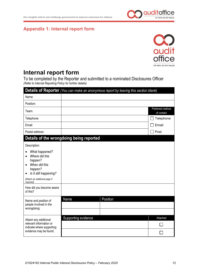

# <span id="page-14-0"></span>**Appendix 1: Internal report form**



# **Internal report form**

To be completed by the Reporter and submitted to a nominated Disclosures Officer *(Refer to Internal Reporting Policy for further details)*

| Details of Reporter (You can make an anonymous report by leaving this section blank)                                                                         |                                          |          |                                |  |  |  |
|--------------------------------------------------------------------------------------------------------------------------------------------------------------|------------------------------------------|----------|--------------------------------|--|--|--|
| Name:                                                                                                                                                        |                                          |          |                                |  |  |  |
| Position:                                                                                                                                                    |                                          |          |                                |  |  |  |
| Team:                                                                                                                                                        |                                          |          | Preferred method<br>of contact |  |  |  |
| Telephone:                                                                                                                                                   |                                          |          | Telephone                      |  |  |  |
| Email:                                                                                                                                                       |                                          |          | Email                          |  |  |  |
| Postal address:                                                                                                                                              |                                          |          | Post                           |  |  |  |
|                                                                                                                                                              | Details of the wrongdoing being reported |          |                                |  |  |  |
| Description:                                                                                                                                                 |                                          |          |                                |  |  |  |
| What happened?<br>$\bullet$<br>Where did this<br>$\bullet$<br>happen?<br>When did this<br>happen?<br>Is it still happening?<br>[Attach an additional page if |                                          |          |                                |  |  |  |
| required]<br>How did you become aware<br>of this?                                                                                                            |                                          |          |                                |  |  |  |
| Name and position of<br>people involved in the<br>wrongdoing:                                                                                                | Name                                     | Position |                                |  |  |  |
| Attach any additional                                                                                                                                        | Supporting evidence                      |          | Attached                       |  |  |  |
| relevant information or<br>indicate where supporting                                                                                                         |                                          |          |                                |  |  |  |
| evidence may be found:                                                                                                                                       |                                          |          |                                |  |  |  |